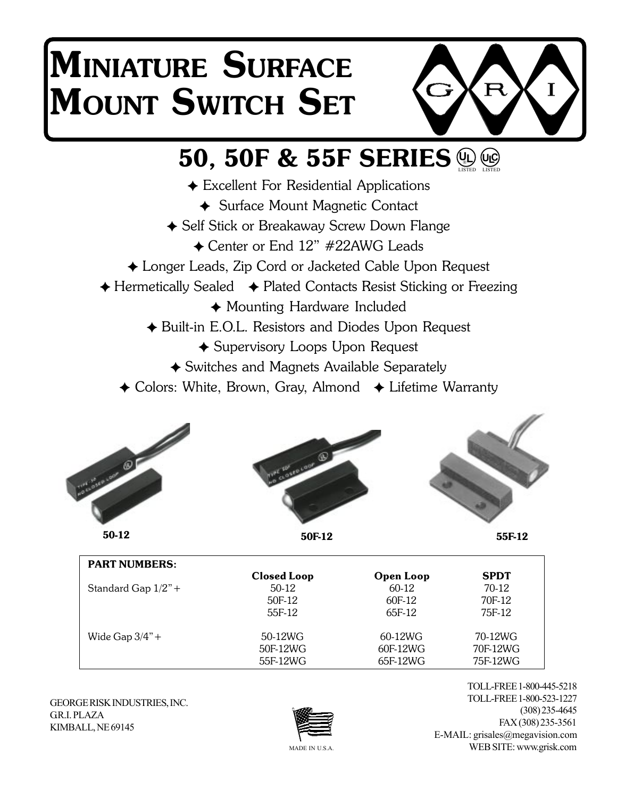# **MINIATURE SURFACE MOUNT SWITCH SET**



## **50, 50F & 55F SERIES UL**) (UC)<br>LISTED LISTED

- Excellent For Residential Applications
	- ◆ Surface Mount Magnetic Contact
- ◆ Self Stick or Breakaway Screw Down Flange
	- ◆ Center or End 12" #22AWG Leads
- Longer Leads, Zip Cord or Jacketed Cable Upon Request
- $\triangle$  Hermetically Sealed  $\triangle$  Plated Contacts Resist Sticking or Freezing
	- Mounting Hardware Included
	- ◆ Built-in E.O.L. Resistors and Diodes Upon Request
		- Supervisory Loops Upon Request
		- Switches and Magnets Available Separately
	- $\triangle$  Colors: White, Brown, Gray, Almond  $\triangle$  Lifetime Warranty



**50-12**



**50F-12**

**55F-12**

| <b>PART NUMBERS:</b>  |                    |                  |             |
|-----------------------|--------------------|------------------|-------------|
|                       | <b>Closed Loop</b> | <b>Open Loop</b> | <b>SPDT</b> |
| Standard Gap $1/2"$ + | $50-12$            | 60-12            | $70-12$     |
|                       | 50F-12             | 60F-12           | 70F-12      |
|                       | 55F-12             | 65F-12           | 75F-12      |
| Wide Gap $3/4$ " +    | 50-12WG            | 60-12WG          | 70-12WG     |
|                       | 50F-12WG           | 60F-12WG         | 70F-12WG    |
|                       | 55F-12WG           | 65F-12WG         | 75F-12WG    |

GEORGE RISK INDUSTRIES, INC. GR.I. PLAZA KIMBALL, NE 69145



TOLL-FREE 1-800-445-5218 TOLL-FREE 1-800-523-1227 (308) 235-4645 FAX (308) 235-3561 E-MAIL: grisales@megavision.com WEB SITE: www.grisk.com